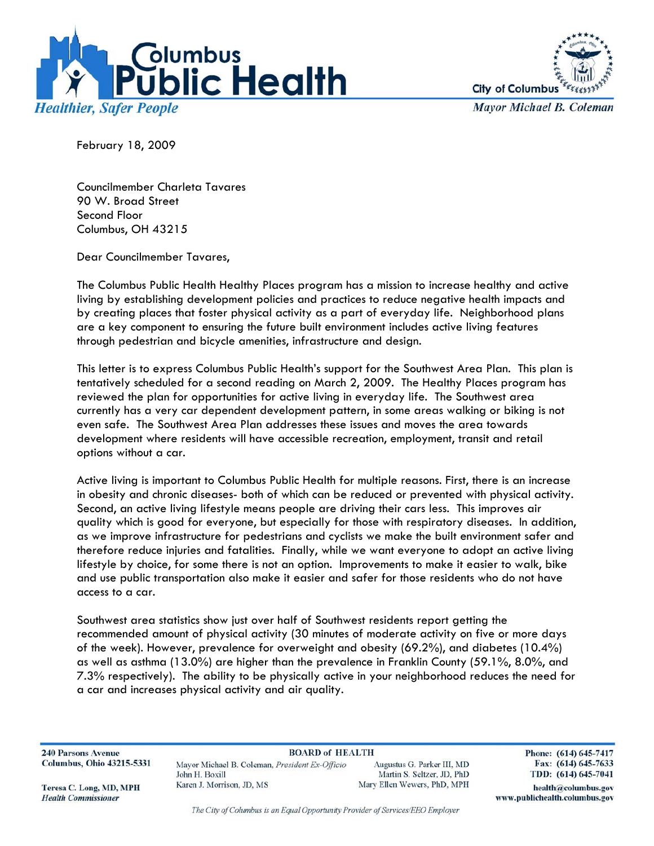



**Mayor Michael B. Coleman** 

February 18, 2009

Councilmember Charleta Tavares 90 W. Broad Street Second Floor Columbus, OH 43215

Dear Councilmember Tavares,

The Columbus Public Health Healthy Places program has a mission to increase healthy and active living by establishing development policies and practices to reduce negative health impacts and by creating places that foster physical activity as a part of everyday life. Neighborhood plans are a key component to ensuring the future built environment includes active living features through pedestrian and bicycle amenities, infrastructure and design.

This letter is to express Columbus Public Health's support for the Southwest Area Plan. This plan is tentatively scheduled for a second reading on March 2, 2009. The Healthy Places program has reviewed the plan for opportunities for active living in everyday life. The Southwest area currently has a very car dependent development pattern, in some areas walking or biking is not even safe. The Southwest Area Plan addresses these issues and moves the area towards development where residents will have accessible recreation, employment, transit and retail options without a car.

Active living is important to Columbus Public Health for multiple reasons. First, there is an increase in obesity and chronic diseases- both of which can be reduced or prevented with physical activity. Second, an active living lifestyle means people are driving their cars less. This improves air quality which is good for everyone, but especially for those with respiratory diseases. In addition, as we improve infrastructure for pedestrians and cyclists we make the built environment safer and therefore reduce injuries and fatalities. Finally, while we want everyone to adopt an active living lifestyle by choice, for some there is not an option. Improvements to make it easier to walk, bike and use public transportation also make it easier and safer for those residents who do not have access to a car.

Southwest area statistics show just over half of Southwest residents report getting the recommended amount of physical activity (30 minutes of moderate activity on five or more days of the week). However, prevalence for overweight and obesity (69.2%), and diabetes (10.4%) as well as asthma (13.0%) are higher than the prevalence in Franklin County (59.1%, 8.0%, and 7.3% respectively). The ability to be physically active in your neighborhood reduces the need for a car and increases physical activity and air quality.

**240 Parsons Avenue Columbus, Ohio 43215-5331** 

**BOARD of HEALTH** Mayor Michael B. Coleman, President Ex-Officio John H. Boxill Karen J. Morrison, JD, MS

Augustus G. Parker III, MD Martin S. Seltzer, JD, PhD Mary Ellen Wewers, PhD, MPH Phone: (614) 645-7417 Fax: (614) 645-7633 TDD: (614) 645-7041

Teresa C. Long, MD, MPH **Health Commissioner** 

The City of Columbus is an Equal Opportunity Provider of Services/EEO Employer

health@columbus.gov www.publichealth.columbus.gov